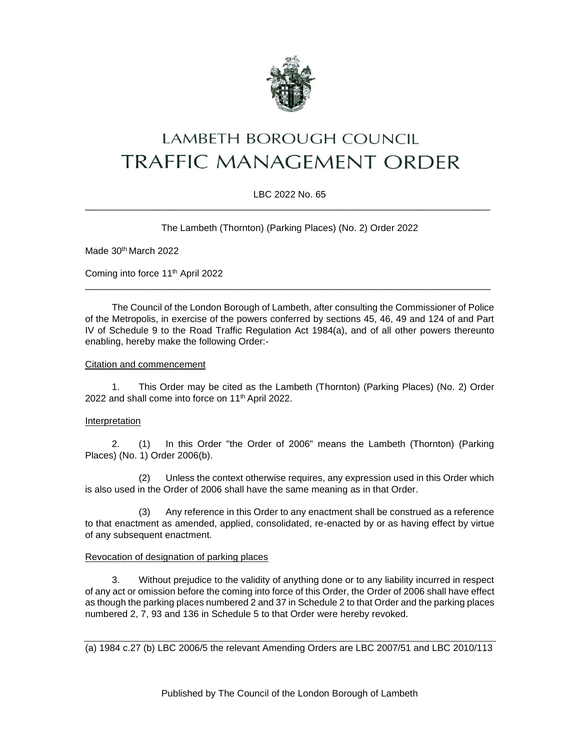

# LAMBETH BOROUGH COUNCIL **TRAFFIC MANAGEMENT ORDER**

# LBC 2022 No. 65 \_\_\_\_\_\_\_\_\_\_\_\_\_\_\_\_\_\_\_\_\_\_\_\_\_\_\_\_\_\_\_\_\_\_\_\_\_\_\_\_\_\_\_\_\_\_\_\_\_\_\_\_\_\_\_\_\_\_\_\_\_\_\_\_\_\_\_\_\_\_\_\_\_\_\_\_\_

The Lambeth (Thornton) (Parking Places) (No. 2) Order 2022

Made 30<sup>th</sup> March 2022

Coming into force 11th April 2022

The Council of the London Borough of Lambeth, after consulting the Commissioner of Police of the Metropolis, in exercise of the powers conferred by sections 45, 46, 49 and 124 of and Part IV of Schedule 9 to the Road Traffic Regulation Act 1984(a), and of all other powers thereunto enabling, hereby make the following Order:-

\_\_\_\_\_\_\_\_\_\_\_\_\_\_\_\_\_\_\_\_\_\_\_\_\_\_\_\_\_\_\_\_\_\_\_\_\_\_\_\_\_\_\_\_\_\_\_\_\_\_\_\_\_\_\_\_\_\_\_\_\_\_\_\_\_\_\_\_\_\_\_\_\_\_\_\_\_

#### Citation and commencement

1. This Order may be cited as the Lambeth (Thornton) (Parking Places) (No. 2) Order 2022 and shall come into force on 11<sup>th</sup> April 2022.

#### **Interpretation**

2. (1) In this Order "the Order of 2006" means the Lambeth (Thornton) (Parking Places) (No. 1) Order 2006(b).

(2) Unless the context otherwise requires, any expression used in this Order which is also used in the Order of 2006 shall have the same meaning as in that Order.

(3) Any reference in this Order to any enactment shall be construed as a reference to that enactment as amended, applied, consolidated, re-enacted by or as having effect by virtue of any subsequent enactment.

#### Revocation of designation of parking places

3. Without prejudice to the validity of anything done or to any liability incurred in respect of any act or omission before the coming into force of this Order, the Order of 2006 shall have effect as though the parking places numbered 2 and 37 in Schedule 2 to that Order and the parking places numbered 2, 7, 93 and 136 in Schedule 5 to that Order were hereby revoked.

(a) 1984 c.27 (b) LBC 2006/5 the relevant Amending Orders are LBC 2007/51 and LBC 2010/113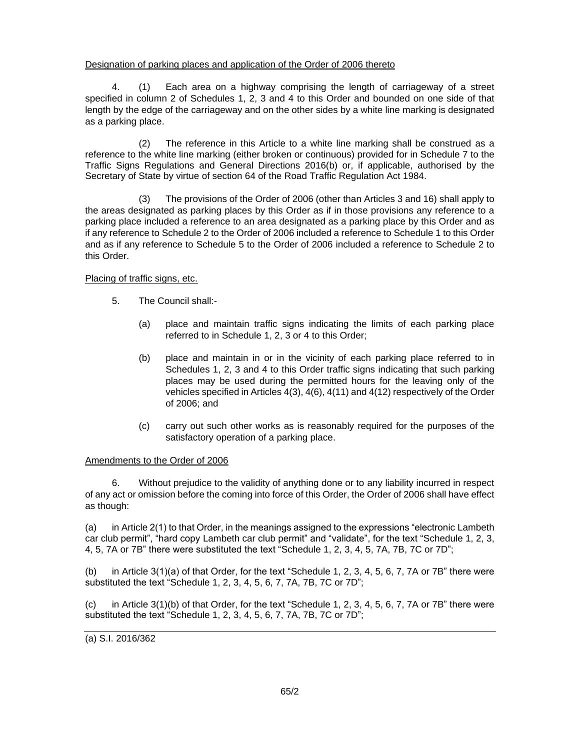# Designation of parking places and application of the Order of 2006 thereto

4. (1) Each area on a highway comprising the length of carriageway of a street specified in column 2 of Schedules 1, 2, 3 and 4 to this Order and bounded on one side of that length by the edge of the carriageway and on the other sides by a white line marking is designated as a parking place.

(2) The reference in this Article to a white line marking shall be construed as a reference to the white line marking (either broken or continuous) provided for in Schedule 7 to the Traffic Signs Regulations and General Directions 2016(b) or, if applicable, authorised by the Secretary of State by virtue of section 64 of the Road Traffic Regulation Act 1984.

(3) The provisions of the Order of 2006 (other than Articles 3 and 16) shall apply to the areas designated as parking places by this Order as if in those provisions any reference to a parking place included a reference to an area designated as a parking place by this Order and as if any reference to Schedule 2 to the Order of 2006 included a reference to Schedule 1 to this Order and as if any reference to Schedule 5 to the Order of 2006 included a reference to Schedule 2 to this Order.

# Placing of traffic signs, etc.

- 5. The Council shall:-
	- (a) place and maintain traffic signs indicating the limits of each parking place referred to in Schedule 1, 2, 3 or 4 to this Order;
	- (b) place and maintain in or in the vicinity of each parking place referred to in Schedules 1, 2, 3 and 4 to this Order traffic signs indicating that such parking places may be used during the permitted hours for the leaving only of the vehicles specified in Articles 4(3), 4(6), 4(11) and 4(12) respectively of the Order of 2006; and
	- (c) carry out such other works as is reasonably required for the purposes of the satisfactory operation of a parking place.

#### Amendments to the Order of 2006

6. Without prejudice to the validity of anything done or to any liability incurred in respect of any act or omission before the coming into force of this Order, the Order of 2006 shall have effect as though:

(a) in Article 2(1) to that Order, in the meanings assigned to the expressions "electronic Lambeth car club permit", "hard copy Lambeth car club permit" and "validate", for the text "Schedule 1, 2, 3, 4, 5, 7A or 7B" there were substituted the text "Schedule 1, 2, 3, 4, 5, 7A, 7B, 7C or 7D";

(b) in Article 3(1)(a) of that Order, for the text "Schedule 1, 2, 3, 4, 5, 6, 7, 7A or 7B" there were substituted the text "Schedule 1, 2, 3, 4, 5, 6, 7, 7A, 7B, 7C or 7D";

(c) in Article 3(1)(b) of that Order, for the text "Schedule 1, 2, 3, 4, 5, 6, 7, 7A or 7B" there were substituted the text "Schedule 1, 2, 3, 4, 5, 6, 7, 7A, 7B, 7C or 7D";

(a) S.I. 2016/362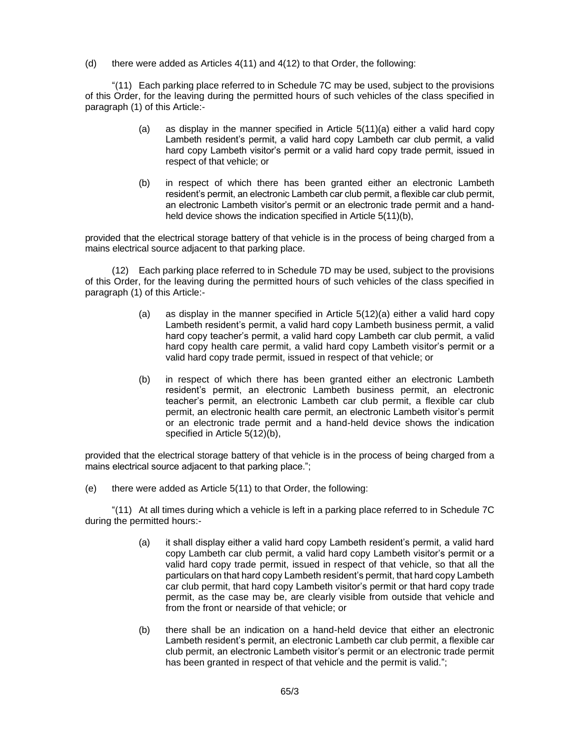(d) there were added as Articles 4(11) and 4(12) to that Order, the following:

"(11) Each parking place referred to in Schedule 7C may be used, subject to the provisions of this Order, for the leaving during the permitted hours of such vehicles of the class specified in paragraph (1) of this Article:-

- (a) as display in the manner specified in Article 5(11)(a) either a valid hard copy Lambeth resident's permit, a valid hard copy Lambeth car club permit, a valid hard copy Lambeth visitor's permit or a valid hard copy trade permit, issued in respect of that vehicle; or
- (b) in respect of which there has been granted either an electronic Lambeth resident's permit, an electronic Lambeth car club permit, a flexible car club permit, an electronic Lambeth visitor's permit or an electronic trade permit and a handheld device shows the indication specified in Article 5(11)(b),

provided that the electrical storage battery of that vehicle is in the process of being charged from a mains electrical source adjacent to that parking place.

(12) Each parking place referred to in Schedule 7D may be used, subject to the provisions of this Order, for the leaving during the permitted hours of such vehicles of the class specified in paragraph (1) of this Article:-

- (a) as display in the manner specified in Article 5(12)(a) either a valid hard copy Lambeth resident's permit, a valid hard copy Lambeth business permit, a valid hard copy teacher's permit, a valid hard copy Lambeth car club permit, a valid hard copy health care permit, a valid hard copy Lambeth visitor's permit or a valid hard copy trade permit, issued in respect of that vehicle; or
- (b) in respect of which there has been granted either an electronic Lambeth resident's permit, an electronic Lambeth business permit, an electronic teacher's permit, an electronic Lambeth car club permit, a flexible car club permit, an electronic health care permit, an electronic Lambeth visitor's permit or an electronic trade permit and a hand-held device shows the indication specified in Article 5(12)(b),

provided that the electrical storage battery of that vehicle is in the process of being charged from a mains electrical source adjacent to that parking place.";

(e) there were added as Article 5(11) to that Order, the following:

"(11) At all times during which a vehicle is left in a parking place referred to in Schedule 7C during the permitted hours:-

- (a) it shall display either a valid hard copy Lambeth resident's permit, a valid hard copy Lambeth car club permit, a valid hard copy Lambeth visitor's permit or a valid hard copy trade permit, issued in respect of that vehicle, so that all the particulars on that hard copy Lambeth resident's permit, that hard copy Lambeth car club permit, that hard copy Lambeth visitor's permit or that hard copy trade permit, as the case may be, are clearly visible from outside that vehicle and from the front or nearside of that vehicle; or
- (b) there shall be an indication on a hand-held device that either an electronic Lambeth resident's permit, an electronic Lambeth car club permit, a flexible car club permit, an electronic Lambeth visitor's permit or an electronic trade permit has been granted in respect of that vehicle and the permit is valid.";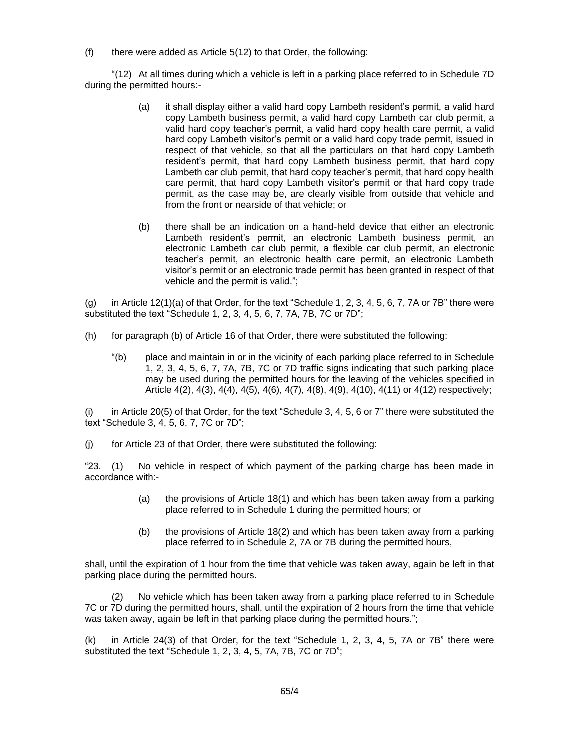$(f)$  there were added as Article  $5(12)$  to that Order, the following:

"(12) At all times during which a vehicle is left in a parking place referred to in Schedule 7D during the permitted hours:-

- (a) it shall display either a valid hard copy Lambeth resident's permit, a valid hard copy Lambeth business permit, a valid hard copy Lambeth car club permit, a valid hard copy teacher's permit, a valid hard copy health care permit, a valid hard copy Lambeth visitor's permit or a valid hard copy trade permit, issued in respect of that vehicle, so that all the particulars on that hard copy Lambeth resident's permit, that hard copy Lambeth business permit, that hard copy Lambeth car club permit, that hard copy teacher's permit, that hard copy health care permit, that hard copy Lambeth visitor's permit or that hard copy trade permit, as the case may be, are clearly visible from outside that vehicle and from the front or nearside of that vehicle; or
- (b) there shall be an indication on a hand-held device that either an electronic Lambeth resident's permit, an electronic Lambeth business permit, an electronic Lambeth car club permit, a flexible car club permit, an electronic teacher's permit, an electronic health care permit, an electronic Lambeth visitor's permit or an electronic trade permit has been granted in respect of that vehicle and the permit is valid.";

(g) in Article 12(1)(a) of that Order, for the text "Schedule 1, 2, 3, 4, 5, 6, 7, 7A or 7B" there were substituted the text "Schedule 1, 2, 3, 4, 5, 6, 7, 7A, 7B, 7C or 7D";

- (h) for paragraph (b) of Article 16 of that Order, there were substituted the following:
	- "(b) place and maintain in or in the vicinity of each parking place referred to in Schedule 1, 2, 3, 4, 5, 6, 7, 7A, 7B, 7C or 7D traffic signs indicating that such parking place may be used during the permitted hours for the leaving of the vehicles specified in Article 4(2), 4(3), 4(4), 4(5), 4(6), 4(7), 4(8), 4(9), 4(10), 4(11) or 4(12) respectively;

(i) in Article 20(5) of that Order, for the text "Schedule 3, 4, 5, 6 or 7" there were substituted the text "Schedule 3, 4, 5, 6, 7, 7C or 7D";

(j) for Article 23 of that Order, there were substituted the following:

"23. (1) No vehicle in respect of which payment of the parking charge has been made in accordance with:-

- (a) the provisions of Article 18(1) and which has been taken away from a parking place referred to in Schedule 1 during the permitted hours; or
- (b) the provisions of Article 18(2) and which has been taken away from a parking place referred to in Schedule 2, 7A or 7B during the permitted hours,

shall, until the expiration of 1 hour from the time that vehicle was taken away, again be left in that parking place during the permitted hours.

No vehicle which has been taken away from a parking place referred to in Schedule 7C or 7D during the permitted hours, shall, until the expiration of 2 hours from the time that vehicle was taken away, again be left in that parking place during the permitted hours.";

(k) in Article 24(3) of that Order, for the text "Schedule 1, 2, 3, 4, 5, 7A or 7B" there were substituted the text "Schedule 1, 2, 3, 4, 5, 7A, 7B, 7C or 7D";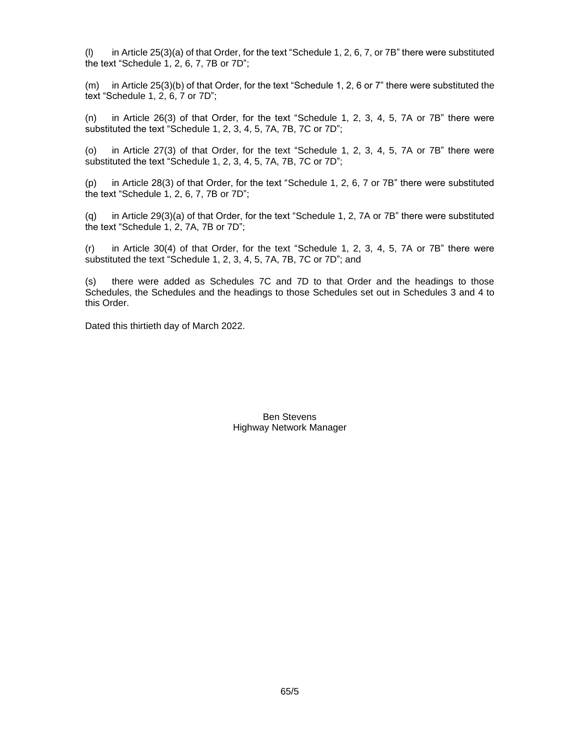(l) in Article 25(3)(a) of that Order, for the text "Schedule 1, 2, 6, 7, or 7B" there were substituted the text "Schedule 1, 2, 6, 7, 7B or 7D";

(m) in Article 25(3)(b) of that Order, for the text "Schedule 1, 2, 6 or 7" there were substituted the text "Schedule 1, 2, 6, 7 or 7D";

(n) in Article 26(3) of that Order, for the text "Schedule 1, 2, 3, 4, 5, 7A or 7B" there were substituted the text "Schedule 1, 2, 3, 4, 5, 7A, 7B, 7C or 7D";

(o) in Article 27(3) of that Order, for the text "Schedule 1, 2, 3, 4, 5, 7A or 7B" there were substituted the text "Schedule 1, 2, 3, 4, 5, 7A, 7B, 7C or 7D";

(p) in Article 28(3) of that Order, for the text "Schedule 1, 2, 6, 7 or 7B" there were substituted the text "Schedule 1, 2, 6, 7, 7B or 7D";

(q) in Article 29(3)(a) of that Order, for the text "Schedule 1, 2, 7A or 7B" there were substituted the text "Schedule 1, 2, 7A, 7B or 7D";

(r) in Article 30(4) of that Order, for the text "Schedule 1, 2, 3, 4, 5, 7A or 7B" there were substituted the text "Schedule 1, 2, 3, 4, 5, 7A, 7B, 7C or 7D"; and

(s) there were added as Schedules 7C and 7D to that Order and the headings to those Schedules, the Schedules and the headings to those Schedules set out in Schedules 3 and 4 to this Order.

Dated this thirtieth day of March 2022.

Ben Stevens Highway Network Manager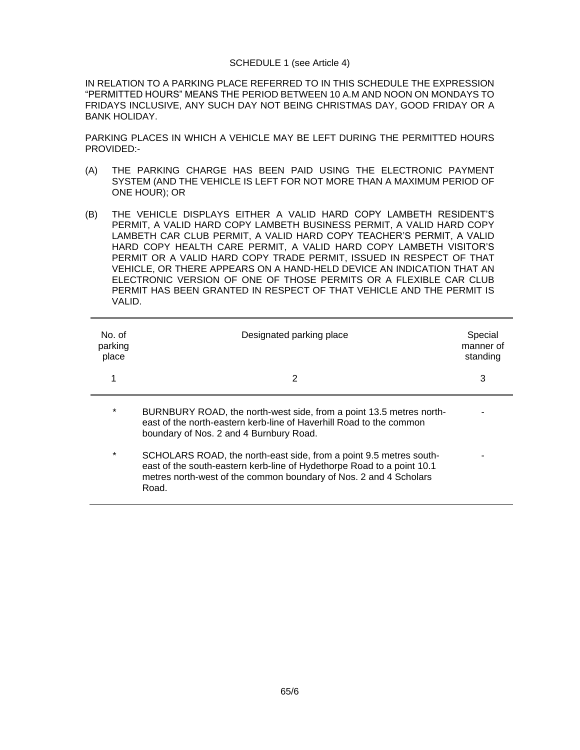#### SCHEDULE 1 (see Article 4)

IN RELATION TO A PARKING PLACE REFERRED TO IN THIS SCHEDULE THE EXPRESSION "PERMITTED HOURS" MEANS THE PERIOD BETWEEN 10 A.M AND NOON ON MONDAYS TO FRIDAYS INCLUSIVE, ANY SUCH DAY NOT BEING CHRISTMAS DAY, GOOD FRIDAY OR A BANK HOLIDAY.

PARKING PLACES IN WHICH A VEHICLE MAY BE LEFT DURING THE PERMITTED HOURS PROVIDED:-

- (A) THE PARKING CHARGE HAS BEEN PAID USING THE ELECTRONIC PAYMENT SYSTEM (AND THE VEHICLE IS LEFT FOR NOT MORE THAN A MAXIMUM PERIOD OF ONE HOUR); OR
- (B) THE VEHICLE DISPLAYS EITHER A VALID HARD COPY LAMBETH RESIDENT'S PERMIT, A VALID HARD COPY LAMBETH BUSINESS PERMIT, A VALID HARD COPY LAMBETH CAR CLUB PERMIT, A VALID HARD COPY TEACHER'S PERMIT, A VALID HARD COPY HEALTH CARE PERMIT, A VALID HARD COPY LAMBETH VISITOR'S PERMIT OR A VALID HARD COPY TRADE PERMIT, ISSUED IN RESPECT OF THAT VEHICLE, OR THERE APPEARS ON A HAND-HELD DEVICE AN INDICATION THAT AN ELECTRONIC VERSION OF ONE OF THOSE PERMITS OR A FLEXIBLE CAR CLUB PERMIT HAS BEEN GRANTED IN RESPECT OF THAT VEHICLE AND THE PERMIT IS VALID.

| No. of<br>parking<br>place | Designated parking place                                                                                                                                                                                                   | Special<br>manner of<br>standing |
|----------------------------|----------------------------------------------------------------------------------------------------------------------------------------------------------------------------------------------------------------------------|----------------------------------|
|                            | 2                                                                                                                                                                                                                          | 3                                |
| $\ast$                     | BURNBURY ROAD, the north-west side, from a point 13.5 metres north-<br>east of the north-eastern kerb-line of Haverhill Road to the common<br>boundary of Nos. 2 and 4 Burnbury Road.                                      |                                  |
| $\ast$                     | SCHOLARS ROAD, the north-east side, from a point 9.5 metres south-<br>east of the south-eastern kerb-line of Hydethorpe Road to a point 10.1<br>metres north-west of the common boundary of Nos. 2 and 4 Scholars<br>Road. |                                  |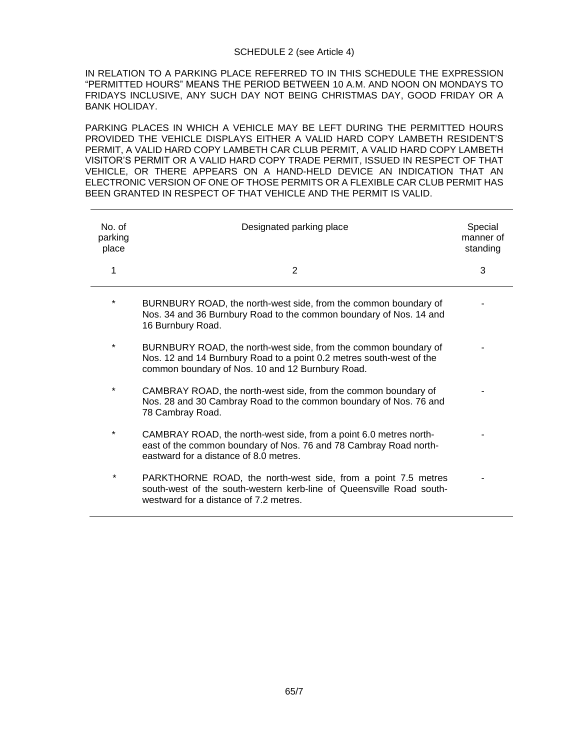# SCHEDULE 2 (see Article 4)

IN RELATION TO A PARKING PLACE REFERRED TO IN THIS SCHEDULE THE EXPRESSION "PERMITTED HOURS" MEANS THE PERIOD BETWEEN 10 A.M. AND NOON ON MONDAYS TO FRIDAYS INCLUSIVE, ANY SUCH DAY NOT BEING CHRISTMAS DAY, GOOD FRIDAY OR A BANK HOLIDAY.

PARKING PLACES IN WHICH A VEHICLE MAY BE LEFT DURING THE PERMITTED HOURS PROVIDED THE VEHICLE DISPLAYS EITHER A VALID HARD COPY LAMBETH RESIDENT'S PERMIT, A VALID HARD COPY LAMBETH CAR CLUB PERMIT, A VALID HARD COPY LAMBETH VISITOR'S PERMIT OR A VALID HARD COPY TRADE PERMIT, ISSUED IN RESPECT OF THAT VEHICLE, OR THERE APPEARS ON A HAND-HELD DEVICE AN INDICATION THAT AN ELECTRONIC VERSION OF ONE OF THOSE PERMITS OR A FLEXIBLE CAR CLUB PERMIT HAS BEEN GRANTED IN RESPECT OF THAT VEHICLE AND THE PERMIT IS VALID.

| No. of<br>parking<br>place | Designated parking place                                                                                                                                                                    | Special<br>manner of<br>standing |
|----------------------------|---------------------------------------------------------------------------------------------------------------------------------------------------------------------------------------------|----------------------------------|
| 1                          | 2                                                                                                                                                                                           | 3                                |
| *                          | BURNBURY ROAD, the north-west side, from the common boundary of<br>Nos. 34 and 36 Burnbury Road to the common boundary of Nos. 14 and<br>16 Burnbury Road.                                  |                                  |
| $\ast$                     | BURNBURY ROAD, the north-west side, from the common boundary of<br>Nos. 12 and 14 Burnbury Road to a point 0.2 metres south-west of the<br>common boundary of Nos. 10 and 12 Burnbury Road. |                                  |
| $\ast$                     | CAMBRAY ROAD, the north-west side, from the common boundary of<br>Nos. 28 and 30 Cambray Road to the common boundary of Nos. 76 and<br>78 Cambray Road.                                     |                                  |
| $\ast$                     | CAMBRAY ROAD, the north-west side, from a point 6.0 metres north-<br>east of the common boundary of Nos. 76 and 78 Cambray Road north-<br>eastward for a distance of 8.0 metres.            |                                  |
| $\ast$                     | PARKTHORNE ROAD, the north-west side, from a point 7.5 metres<br>south-west of the south-western kerb-line of Queensville Road south-<br>westward for a distance of 7.2 metres.             |                                  |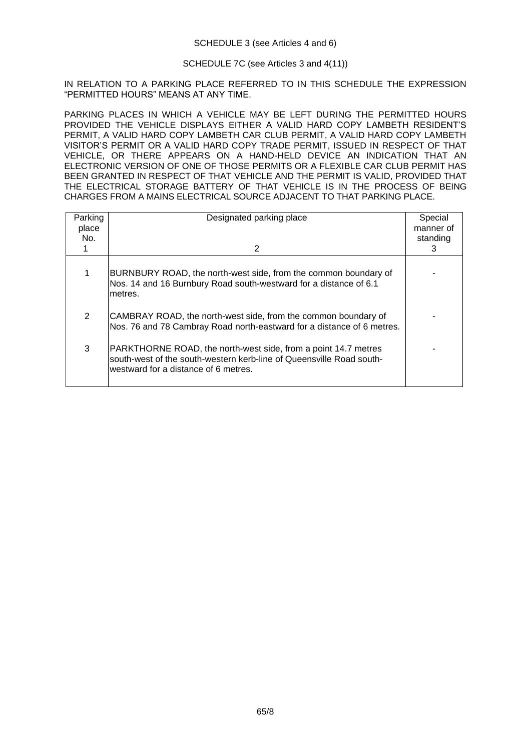#### SCHEDULE 3 (see Articles 4 and 6)

## SCHEDULE 7C (see Articles 3 and 4(11))

IN RELATION TO A PARKING PLACE REFERRED TO IN THIS SCHEDULE THE EXPRESSION "PERMITTED HOURS" MEANS AT ANY TIME.

PARKING PLACES IN WHICH A VEHICLE MAY BE LEFT DURING THE PERMITTED HOURS PROVIDED THE VEHICLE DISPLAYS EITHER A VALID HARD COPY LAMBETH RESIDENT'S PERMIT, A VALID HARD COPY LAMBETH CAR CLUB PERMIT, A VALID HARD COPY LAMBETH VISITOR'S PERMIT OR A VALID HARD COPY TRADE PERMIT, ISSUED IN RESPECT OF THAT VEHICLE, OR THERE APPEARS ON A HAND-HELD DEVICE AN INDICATION THAT AN ELECTRONIC VERSION OF ONE OF THOSE PERMITS OR A FLEXIBLE CAR CLUB PERMIT HAS BEEN GRANTED IN RESPECT OF THAT VEHICLE AND THE PERMIT IS VALID, PROVIDED THAT THE ELECTRICAL STORAGE BATTERY OF THAT VEHICLE IS IN THE PROCESS OF BEING CHARGES FROM A MAINS ELECTRICAL SOURCE ADJACENT TO THAT PARKING PLACE.

| Parking<br>place<br>No. | Designated parking place<br>2                                                                                                                                                  | Special<br>manner of<br>standing<br>З |
|-------------------------|--------------------------------------------------------------------------------------------------------------------------------------------------------------------------------|---------------------------------------|
| 1                       | BURNBURY ROAD, the north-west side, from the common boundary of<br>Nos. 14 and 16 Burnbury Road south-westward for a distance of 6.1<br>lmetres.                               |                                       |
| 2                       | CAMBRAY ROAD, the north-west side, from the common boundary of<br>Nos. 76 and 78 Cambray Road north-eastward for a distance of 6 metres.                                       |                                       |
| 3                       | PARKTHORNE ROAD, the north-west side, from a point 14.7 metres<br>south-west of the south-western kerb-line of Queensville Road south-<br>westward for a distance of 6 metres. |                                       |